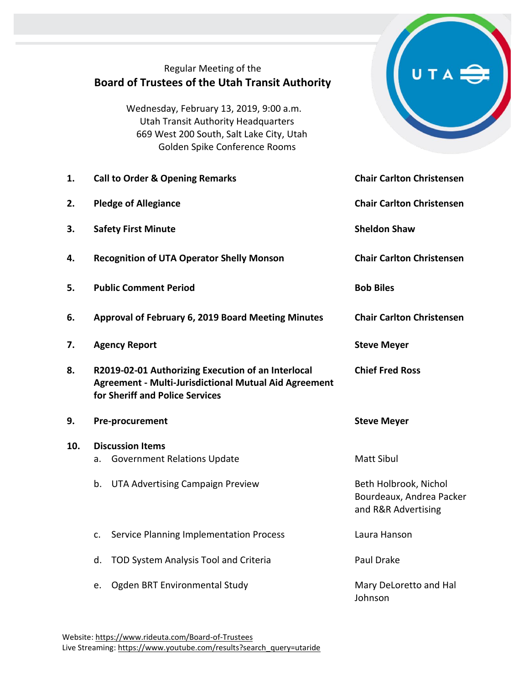## Regular Meeting of the **Board of Trustees of the Utah Transit Authority** Wednesday, February 13, 2019, 9:00 a.m. Utah Transit Authority Headquarters 669 West 200 South, Salt Lake City, Utah Golden Spike Conference Rooms **1. Call to Order & Opening Remarks Chair Carlton Christensen 2. Pledge of Allegiance Chair Carlton Christensen 3. Safety First Minute Sheldon Shaw Sheldon Shaw 4. Recognition of UTA Operator Shelly Monson Chair Carlton Christensen 5. Public Comment Period Bob Biles 6. Approval of February 6, 2019 Board Meeting Minutes Chair Carlton Christensen 7. Agency Report Steve Meyer 8. R2019-02-01 Authorizing Execution of an Interlocal Agreement - Multi-Jurisdictional Mutual Aid Agreement for Sheriff and Police Services Chief Fred Ross 9. Pre-procurement Steve Meyer 10. Discussion Items** a. Government Relations Update Matt Sibul b. UTA Advertising Campaign Preview Beth Holbrook, Nichol Bourdeaux, Andrea Packer and R&R Advertising c. Service Planning Implementation Process Laura Hanson d. TOD System Analysis Tool and Criteria **Paul Drake** e. Ogden BRT Environmental Study Mary DeLoretto and Hall Johnson